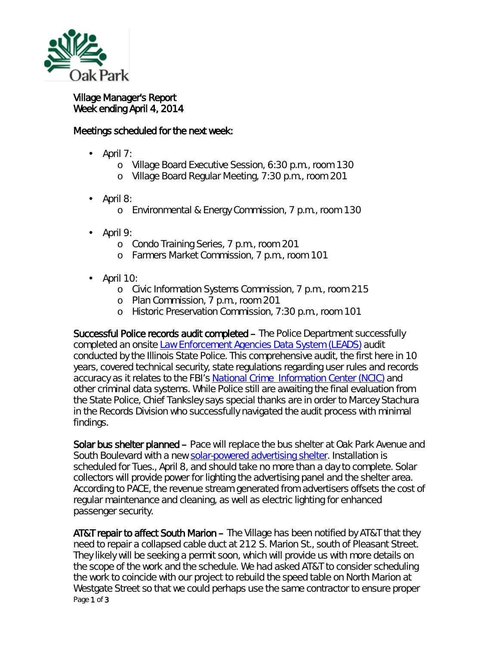

## Village Manager's Report Week ending April 4, 2014

## Meetings scheduled for the next week:

- April 7:
	- o Village Board Executive Session, 6:30 p.m., room 130
	- o Village Board Regular Meeting, 7:30 p.m., room 201
- April 8: ä,
	- o Environmental & Energy Commission, 7 p.m., room 130
- April 9:
	- o Condo Training Series, 7 p.m., room 201
	- o Farmers Market Commission, 7 p.m., room 101
- April 10:
	- o Civic Information Systems Commission, 7 p.m., room 215
	- o Plan Commission, 7 p.m., room 201
	- o Historic Preservation Commission, 7:30 p.m., room 101

Successful Police records audit completed – The Police Department successfully completed an onsite [Law Enforcement Agencies Data System \(LEADS\)](http://www.icjia.state.il.us/iijis/public/index.cfm?metasection=strategicplan&metapage=sjis_leads) audit conducted by the Illinois State Police. This comprehensive audit, the first here in 10 years, covered technical security, state regulations regarding user rules and records accuracy as it relates to the FBI's [National Crime Information Center \(NCIC\)](http://www.fas.org/irp/agency/doj/fbi/is/ncic.htm) and other criminal data systems. While Police still are awaiting the final evaluation from the State Police, Chief Tanksley says special thanks are in order to Marcey Stachura in the Records Division who successfully navigated the audit process with minimal findings.

Solar bus shelter planned – Pace will replace the bus shelter at Oak Park Avenue and South Boulevard with a new [solar-powered advertising shelter.](http://www.pacebus.com/sub/vision2020/shelters.asp) Installation is scheduled for Tues., April 8, and should take no more than a day to complete. Solar collectors will provide power for lighting the advertising panel and the shelter area. According to PACE, the revenue stream generated from advertisers offsets the cost of regular maintenance and cleaning, as well as electric lighting for enhanced passenger security.

Page 1 of 3 AT&T repair to affect South Marion – The Village has been notified by AT&T that they need to repair a collapsed cable duct at 212 S. Marion St., south of Pleasant Street. They likely will be seeking a permit soon, which will provide us with more details on the scope of the work and the schedule. We had asked AT&T to consider scheduling the work to coincide with our project to rebuild the speed table on North Marion at Westgate Street so that we could perhaps use the same contractor to ensure proper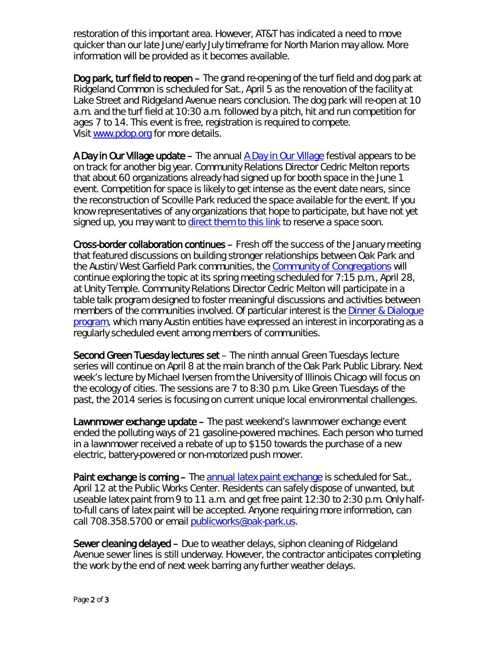restoration of this important area. However, AT&T has indicated a need to move quicker than our late June/early July timeframe for North Marion may allow. More information will be provided as it becomes available.

Dog park, turf field to reopen – The grand re-opening of the turf field and dog park at Ridgeland Common is scheduled for Sat., April 5 as the renovation of the facility at Lake Street and Ridgeland Avenue nears conclusion. The dog park will re-open at 10 a.m. and the turf field at 10:30 a.m. followed by a pitch, hit and run competition for ages 7 to 14. This event is free, registration is required to compete. Visit [www.pdop.org](http://r20.rs6.net/tn.jsp?e=00134uNhvDltZ5ac9sTus77Y98POhbLnNQfXB7dJEu-DJ9_UjEIFC29xVEQ8IsO6yVgcedV7sSsY45wd_6XCPMAI4Dm78AU8f_FsAyFghruxBDcG96hUuyq3LxVSwEIjiJjP5rvmyIXWPeJaozNakgt5-cjCnMJ_7vNk80llWZMHG4=) for more details.

A Day in Our Village update – The annual [A Day in Our Village](http://www.oak-park.us/our-community/special-events/day-our-village) festival appears to be on track for another big year. Community Relations Director Cedric Melton reports that about 60 organizations already had signed up for booth space in the June 1 event. Competition for space is likely to get intense as the event date nears, since the reconstruction of Scoville Park reduced the space available for the event. If you know representatives of any organizations that hope to participate, but have not yet signed up, you may want to [direct them to this link](http://events.r20.constantcontact.com/register/event?oeidk=a07e92pdhyo83f3ab41&llr=h97ofgjab) to reserve a space soon.

Cross-border collaboration continues – Fresh off the success of the January meeting that featured discussions on building stronger relationships between Oak Park and the Austin/West Garfield Park communities, the [Community of Congregations](http://www.communityofcongregations.org/) will continue exploring the topic at its spring meeting scheduled for 7:15 p.m., April 28, at Unity Temple. Community Relations Director Cedric Melton will participate in a *table talk* program designed to foster meaningful discussions and activities between members of the communities involved. Of particular interest is the [Dinner & Dialogue](http://www.oak-park.us/our-community/community-relations/dinner-dialogue)  [program,](http://www.oak-park.us/our-community/community-relations/dinner-dialogue) which many Austin entities have expressed an interest in incorporating as a regularly scheduled event among members of communities.

Second Green Tuesday lectures set – The ninth annual Green Tuesdays lecture series will continue on April 8 at the main branch of the Oak Park Public Library. Next week's lecture by Michael Iversen from the University of Illinois Chicago will focus on the ecology of cities. The sessions are 7 to 8:30 p.m. Like Green Tuesdays of the past, the 2014 series is focusing on current unique local environmental challenges.

Lawnmower exchange update – The past weekend's lawnmower exchange event ended the polluting ways of 21 gasoline-powered machines. Each person who turned in a lawnmower received a rebate of up to \$150 towards the purchase of a new electric, battery-powered or non-motorized push mower.

Paint exchange is coming – The [annual latex paint exchange](http://youtu.be/Ea8dQdJ0O3k) is scheduled for Sat., April 12 at the Public Works Center. Residents can safely dispose of unwanted, but useable latex paint from 9 to 11 a.m. and get free paint 12:30 to 2:30 p.m. Only halfto-full cans of latex paint will be accepted. Anyone requiring more information, can call 708.358.5700 or email [publicworks@oak-park.us.](mailto:publicworks@oak-park.us)

Sewer cleaning delayed – Due to weather delays, siphon cleaning of Ridgeland Avenue sewer lines is still underway. However, the contractor anticipates completing the work by the end of next week barring any further weather delays.